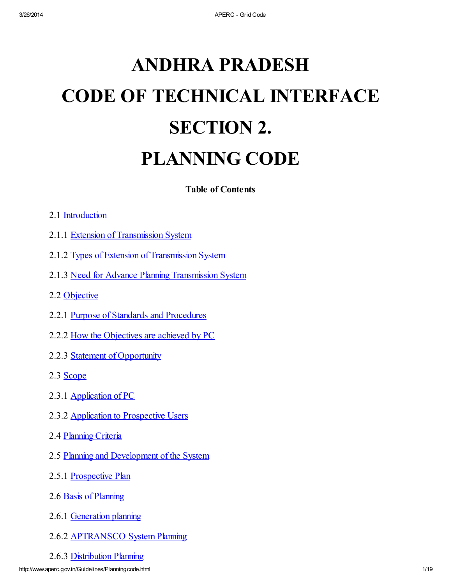# **ANDHRA PRADESH CODE OF TECHNICAL INTERFACE SECTION 2. PLANNING CODE**

**Table of Contents**

#### 2.1 [Introduction](#page-2-0)

- 2.1.1 Extension of [Transmission](#page-3-0) System
- 2.1.2 Types of Extension of Transmission System
- 2.1.3 Need for Advance Planning Transmission System
- 2.2 [Objective](#page-3-1)
- 2.2.1 Purpose of Standards and Procedures
- 2.2.2 How the [Objectives](#page-4-0) are achieved by PC
- 2.2.3 Statement of Opportunity
- 2.3 [Scope](#page-4-1)
- 2.3.1 [Application](#page-4-2) of PC
- 2.3.2 Application to [Prospective](#page-5-0) Users
- 2.4 [Planning](#page-5-1) Criteria
- 2.5 Planning and [Development](#page-5-2) of the System
- 2.5.1 [Prospective](#page-5-3) Plan
- 2.6 Basis of Planning
- 2.6.1 [Generation](#page-7-0) planning
- 2.6.2 [APTRANSCO](#page-8-0) System Planning
- 2.6.3 [Distribution](#page-9-0) Planning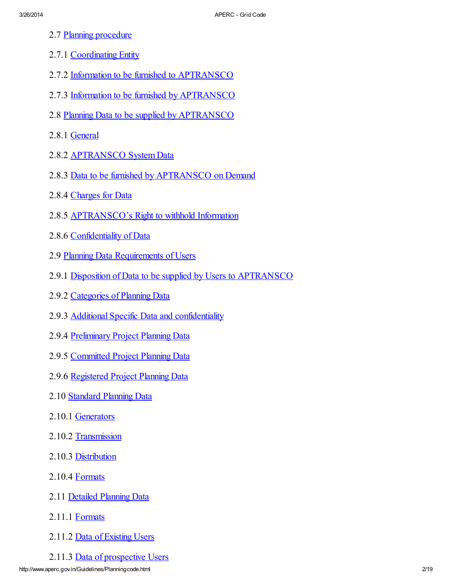- 2.7 Planning procedure
- 2.7.1 Coordinating Entity
- 2.7.2 Information to be furnished to APTRANSCO
- 2.7.3 Information to be furnished by APTRANSCO
- 2.8 Planning Data to be supplied by [APTRANSCO](#page-10-0)
- 2.8.1 [General](#page-10-1)
- 2.8.2 APTRANSCO System Data
- 2.8.3 Data to be furnished by APTRANSCO on Demand
- 2.8.4 [Charges](#page-11-0) for Data
- 2.8.5 APTRANSCO's Right to withhold Information
- 2.8.6 Confidentiality of Data
- 2.9 Planning Data [Requirements](#page-11-1) of Users
- 2.9.1 Disposition of Data to be supplied by Users to APTRANSCO
- 2.9.2 Categories of Planning Data
- 2.9.3 Additional Specific Data and confidentiality
- 2.9.4 [Preliminary](#page-12-0) Project Planning Data
- 2.9.5 [Committed](#page-13-0) Project Planning Data
- 2.9.6 [Registered](#page-13-1) Project Planning Data
- 2.10 Standard Planning Data
- 2.10.1 [Generators](#page-13-2)
- 2.10.2 [Transmission](#page-14-0)
- 2.10.3 [Distribution](#page-14-1)
- 2.10.4 Formats
- 2.11 Detailed [Planning](#page-14-2) Data
- 2.11.1 Formats
- 2.11.2 Data of Existing Users
- 2.11.3 Data of prospective Users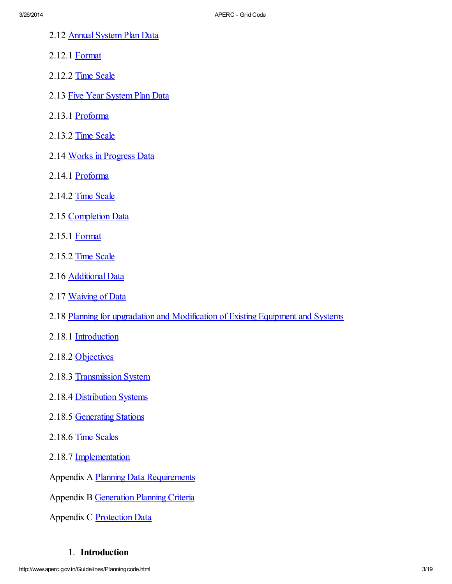- 2.12 Annual [System](#page-15-0) Plan Data
- 2.12.1 [Format](#page-15-1)
- 2.12.2 Time Scale
- 2.13 Five Year [System](#page-15-2) Plan Data
- 2.13.1 Proforma
- 2.13.2 Time Scale
- 2.14 Works in [Progress](#page-15-3) Data
- 2.14.1 Proforma
- 2.14.2 Time Scale
- 2.15 [Completion](#page-15-4) Data
- 2.15.1 [Format](#page-15-5)
- 2.15.2 Time Scale
- 2.16 Additional Data
- 2.17 Waiving of Data
- 2.18 Planning for upgradation and [Modification](#page-16-0) of Existing Equipment and Systems
- 2.18.1 Introduction
- 2.18.2 [Objectives](#page-16-1)
- 2.18.3 [Transmission](#page-16-2) System
- 2.18.4 Distribution Systems
- 2.18.5 Generating Stations
- 2.18.6 Time Scales
- 2.18.7 [Implementation](#page-18-0)

Appendix A Planning Data [Requirements](http://www.aperc.gov.in/Guidelines/pcappendixA.htm)

Appendix B [Generation](http://www.aperc.gov.in/Guidelines/pcappendixB.htm) Planning Criteria

Appendix C [Protection](http://www.aperc.gov.in/Guidelines/pcappendixC.htm) Data

#### <span id="page-2-0"></span>1. **Introduction**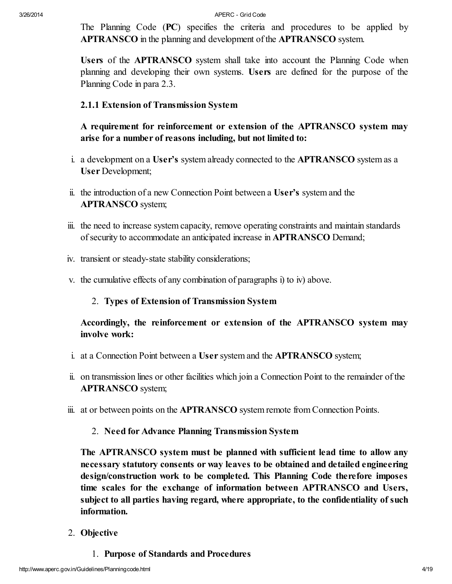The Planning Code (PC) specifies the criteria and procedures to be applied by APTRANSCO in the planning and development of the APTRANSCO system.

Users of the **APTRANSCO** system shall take into account the Planning Code when planning and developing their own systems. Users are defined for the purpose of the Planning Code in para 2.3.

#### <span id="page-3-0"></span>*2.1.1 Extension of Transmission System*

**A requirement for reinforcement or extension of the APTRANSCO system may arise for a number of reasons including, but not limited to:**

- i. a development on a User's system already connected to the APTRANSCO system as a User Development;
- ii. the introduction of a new Connection Point between a User's system and the APTRANSCO system;
- iii. the need to increase system capacity, remove operating constraints and maintain standards of security to accommodate an anticipated increase in **APTRANSCO** Demand;
- iv. transient or steady-state stability considerations;
- v. the cumulative effects of any combination of paragraphs i) to iv) above.

#### 2. *Types of Extension of Transmission System*

**Accordingly, the reinforcement or extension of the APTRANSCO system may involve work:**

- i. at a Connection Point between a User system and the APTRANSCO system;
- ii. on transmission lines or other facilities which join a Connection Point to the remainder of the APTRANSCO system;
- iii. at or between points on the APTRANSCO system remote from Connection Points.

#### 2. *Need for Advance Planning Transmission System*

**The APTRANSCO system must be planned with sufficient lead time to allow any necessary statutory consents or way leaves to be obtained and detailed engineering design/construction work to be completed. This Planning Code therefore imposes time scales for the exchange of information between APTRANSCO and Users, subject to all parties having regard, where appropriate, to the confidentiality of such information.**

- <span id="page-3-1"></span>2. **Objective**
	- 1. *Purpose of Standards and Procedures*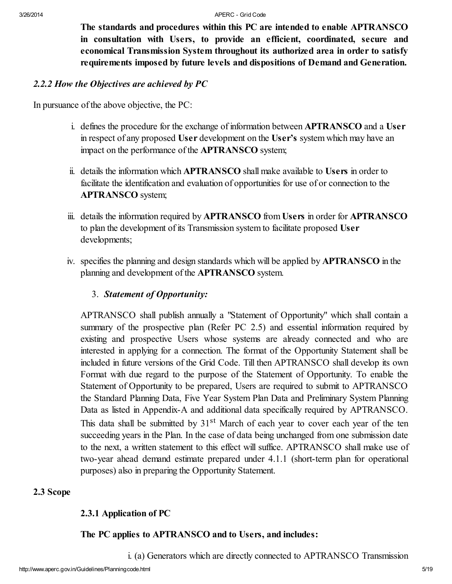**The standards and procedures within this PC are intended to enable APTRANSCO in consultation with Users, to provide an efficient, coordinated, secure and economical Transmission System throughout its authorized area in order to satisfy requirements imposed by future levels and dispositions of Demand and Generation.**

#### <span id="page-4-0"></span>*2.2.2 How the Objectives are achieved by PC*

In pursuance of the above objective, the PC:

- i. defines the procedure for the exchange of information between APTRANSCO and a User in respect of any proposed User development on the User's system which may have an impact on the performance of the APTRANSCO system;
- ii. details the information which APTRANSCO shall make available to Users in order to facilitate the identification and evaluation of opportunities for use of or connection to the APTRANSCO system;
- iii. details the information required by **APTRANSCO** from Users in order for APTRANSCO to plan the development of its Transmission system to facilitate proposed User developments;
- iv. specifies the planning and design standards which will be applied by APTRANSCO in the planning and development of the APTRANSCO system.

#### 3. *Statement of Opportunity:*

APTRANSCO shall publish annually a "Statement of Opportunity" which shall contain a summary of the prospective plan (Refer PC 2.5) and essential information required by existing and prospective Users whose systems are already connected and who are interested in applying for a connection. The format of the Opportunity Statement shall be included in future versions of the Grid Code. Till then APTRANSCO shall develop its own Format with due regard to the purpose of the Statement of Opportunity. To enable the Statement of Opportunity to be prepared, Users are required to submit to APTRANSCO the Standard Planning Data, Five Year System Plan Data and Preliminary System Planning Data as listed in Appendix-A and additional data specifically required by APTRANSCO. This data shall be submitted by 31<sup>st</sup> March of each year to cover each year of the ten succeeding years in the Plan. In the case of data being unchanged from one submission date to the next, a written statement to this effect will suffice. APTRANSCO shall make use of two-year ahead demand estimate prepared under 4.1.1 (short-term plan for operational purposes) also in preparing the Opportunity Statement.

#### <span id="page-4-1"></span>**2.3 Scope**

# <span id="page-4-2"></span>*2.3.1 Application of PC*

# **The PC applies to APTRANSCO and to Users, and includes:**

i. (a) Generators which are directly connected to APTRANSCO Transmission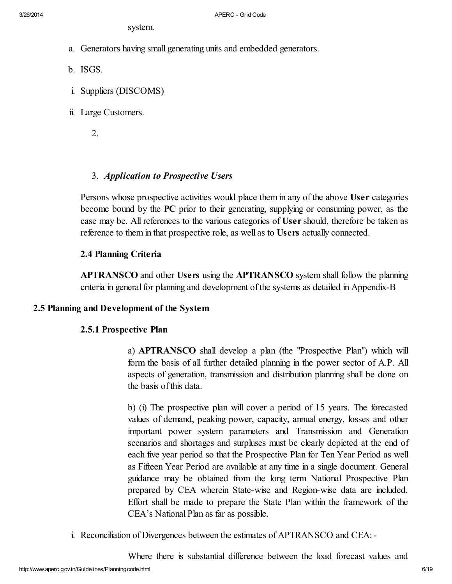system.

- a. Generators having small generating units and embedded generators.
- b. ISGS.
- i. Suppliers (DISCOMS)
- ii. Large Customers.

2.

# <span id="page-5-0"></span>3. *Application to Prospective Users*

Persons whose prospective activities would place them in any of the above User categories become bound by the PC prior to their generating, supplying or consuming power, as the case may be. All references to the various categories of User should, therefore be taken as reference to them in that prospective role, as well as to Users actually connected.

# <span id="page-5-1"></span>**2.4 Planning Criteria**

APTRANSCO and other Users using the APTRANSCO system shall follow the planning criteria in general for planning and development of the systems as detailed in Appendix-B

#### <span id="page-5-2"></span>**2.5 Planning and Development of the System**

# <span id="page-5-3"></span>*2.5.1 Prospective Plan*

a) APTRANSCO shall develop a plan (the "Prospective Plan") which will form the basis of all further detailed planning in the power sector of A.P. All aspects of generation, transmission and distribution planning shall be done on the basis of this data.

b) (i) The prospective plan will cover a period of 15 years. The forecasted values of demand, peaking power, capacity, annual energy, losses and other important power system parameters and Transmission and Generation scenarios and shortages and surpluses must be clearly depicted at the end of each five year period so that the Prospective Plan for Ten Year Period as well as Fifteen Year Period are available at any time in a single document. General guidance may be obtained from the long term National Prospective Plan prepared by CEA wherein State-wise and Region-wise data are included. Effort shall be made to prepare the State Plan within the framework of the CEA's National Plan as far as possible.

i. Reconciliation of Divergences between the estimates of APTRANSCO and CEA:-

Where there is substantial difference between the load forecast values and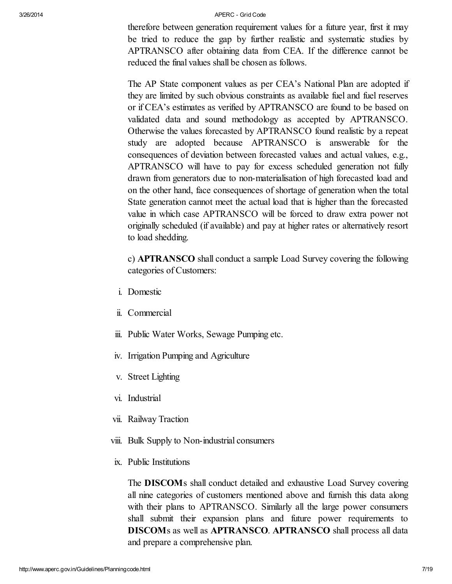therefore between generation requirement values for a future year, first it may be tried to reduce the gap by further realistic and systematic studies by APTRANSCO after obtaining data from CEA. If the difference cannot be reduced the final values shall be chosen as follows.

The AP State component values as per CEA's National Plan are adopted if they are limited by such obvious constraints as available fuel and fuel reserves or if CEA's estimates as verified by APTRANSCO are found to be based on validated data and sound methodology as accepted by APTRANSCO. Otherwise the values forecasted by APTRANSCO found realistic by a repeat study are adopted because APTRANSCO is answerable for the consequences of deviation between forecasted values and actual values, e.g., APTRANSCO will have to pay for excess scheduled generation not fully drawn from generators due to non-materialisation of high forecasted load and on the other hand, face consequences of shortage of generation when the total State generation cannot meet the actual load that is higher than the forecasted value in which case APTRANSCO will be forced to draw extra power not originally scheduled (if available) and pay at higher rates or alternatively resort to load shedding.

c) APTRANSCO shall conduct a sample Load Survey covering the following categories of Customers:

- i. Domestic
- ii. Commercial
- iii. Public Water Works, Sewage Pumping etc.
- iv. Irrigation Pumping and Agriculture
- v. Street Lighting
- vi. Industrial
- vii. Railway Traction
- viii. Bulk Supply to Non-industrial consumers
- ix. Public Institutions

The DISCOMs shall conduct detailed and exhaustive Load Survey covering all nine categories of customers mentioned above and furnish this data along with their plans to APTRANSCO. Similarly all the large power consumers shall submit their expansion plans and future power requirements to DISCOMs as well as APTRANSCO. APTRANSCO shall process all data and prepare a comprehensive plan.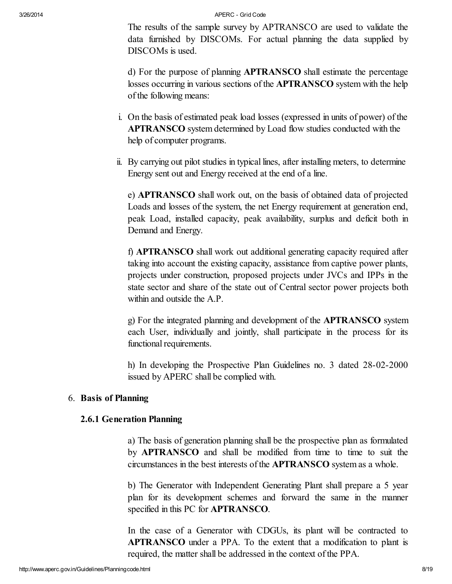The results of the sample survey by APTRANSCO are used to validate the data furnished by DISCOMs. For actual planning the data supplied by DISCOMs is used.

d) For the purpose of planning APTRANSCO shall estimate the percentage losses occurring in various sections of the APTRANSCO system with the help of the following means:

- i. On the basis of estimated peak load losses (expressed in units of power) of the APTRANSCO system determined by Load flow studies conducted with the help of computer programs.
- ii. By carrying out pilot studies in typical lines, after installing meters, to determine Energy sent out and Energy received at the end of a line.

e) APTRANSCO shall work out, on the basis of obtained data of projected Loads and losses of the system, the net Energy requirement at generation end, peak Load, installed capacity, peak availability, surplus and deficit both in Demand and Energy.

f) APTRANSCO shall work out additional generating capacity required after taking into account the existing capacity, assistance from captive power plants, projects under construction, proposed projects under JVCs and IPPs in the state sector and share of the state out of Central sector power projects both within and outside the A.P.

g) For the integrated planning and development of the APTRANSCO system each User, individually and jointly, shall participate in the process for its functional requirements.

h) In developing the Prospective Plan Guidelines no. 3 dated 28-02-2000 issued by APERC shall be complied with.

#### 6. **Basis of Planning**

#### <span id="page-7-0"></span>*2.6.1 Generation Planning*

a) The basis of generation planning shall be the prospective plan as formulated by APTRANSCO and shall be modified from time to time to suit the circumstances in the best interests of the APTRANSCO system as a whole.

b) The Generator with Independent Generating Plant shall prepare a 5 year plan for its development schemes and forward the same in the manner specified in this PC for APTRANSCO.

In the case of a Generator with CDGUs, its plant will be contracted to APTRANSCO under a PPA. To the extent that a modification to plant is required, the matter shall be addressed in the context of the PPA.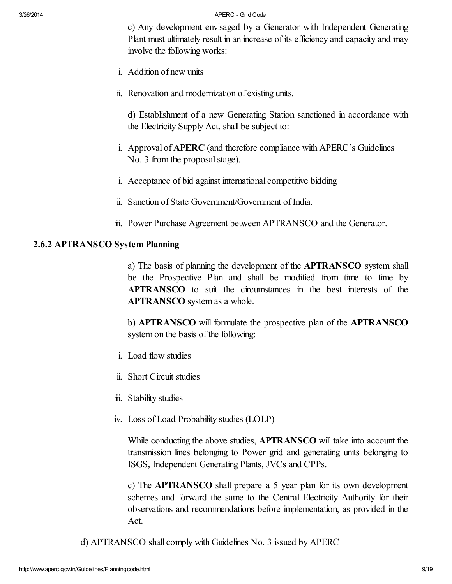c) Any development envisaged by a Generator with Independent Generating Plant must ultimately result in an increase of its efficiency and capacity and may involve the following works:

- i. Addition of new units
- ii. Renovation and modernization of existing units.

d) Establishment of a new Generating Station sanctioned in accordance with the Electricity Supply Act, shall be subject to:

- i. Approval of APERC (and therefore compliance with APERC's Guidelines No. 3 from the proposal stage).
- i. Acceptance of bid against international competitive bidding
- ii. Sanction of State Government/Government of India.
- iii. Power Purchase Agreement between APTRANSCO and the Generator.

#### <span id="page-8-0"></span>*2.6.2 APTRANSCO System Planning*

a) The basis of planning the development of the APTRANSCO system shall be the Prospective Plan and shall be modified from time to time by APTRANSCO to suit the circumstances in the best interests of the APTRANSCO system as a whole.

b) **APTRANSCO** will formulate the prospective plan of the APTRANSCO system on the basis of the following:

- i. Load flow studies
- ii. Short Circuit studies
- iii. Stability studies
- iv. Loss of Load Probability studies (LOLP)

While conducting the above studies, APTRANSCO will take into account the transmission lines belonging to Power grid and generating units belonging to ISGS, Independent Generating Plants, JVCs and CPPs.

c) The APTRANSCO shall prepare a 5 year plan for its own development schemes and forward the same to the Central Electricity Authority for their observations and recommendations before implementation, as provided in the Act.

d) APTRANSCO shall comply with Guidelines No. 3 issued by APERC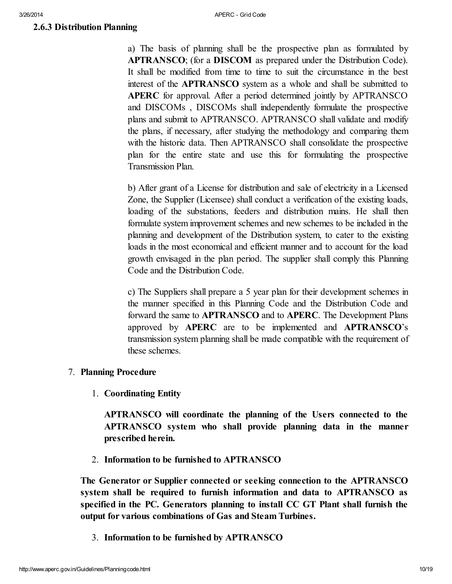#### <span id="page-9-0"></span>*2.6.3 Distribution Planning*

a) The basis of planning shall be the prospective plan as formulated by APTRANSCO; (for a DISCOM as prepared under the Distribution Code). It shall be modified from time to time to suit the circumstance in the best interest of the APTRANSCO system as a whole and shall be submitted to APERC for approval. After a period determined jointly by APTRANSCO and DISCOMs , DISCOMs shall independently formulate the prospective plans and submit to APTRANSCO. APTRANSCO shall validate and modify the plans, if necessary, after studying the methodology and comparing them with the historic data. Then APTRANSCO shall consolidate the prospective plan for the entire state and use this for formulating the prospective Transmission Plan.

b) After grant of a License for distribution and sale of electricity in a Licensed Zone, the Supplier (Licensee) shall conduct a verification of the existing loads, loading of the substations, feeders and distribution mains. He shall then formulate system improvement schemes and new schemes to be included in the planning and development of the Distribution system, to cater to the existing loads in the most economical and efficient manner and to account for the load growth envisaged in the plan period. The supplier shall comply this Planning Code and the Distribution Code.

c) The Suppliers shall prepare a 5 year plan for their development schemes in the manner specified in this Planning Code and the Distribution Code and forward the same to APTRANSCO and to APERC. The Development Plans approved by APERC are to be implemented and APTRANSCO's transmission system planning shall be made compatible with the requirement of these schemes.

#### 7. **Planning Procedure**

1. *Coordinating Entity*

**APTRANSCO will coordinate the planning of the Users connected to the APTRANSCO system who shall provide planning data in the manner prescribed herein.**

2. *Information to be furnished to APTRANSCO*

**The Generator or Supplier connected or seeking connection to the APTRANSCO system shall be required to furnish information and data to APTRANSCO as specified in the PC. Generators planning to install CC GT Plant shall furnish the output for various combinations of Gas and Steam Turbines.**

3. *Information to be furnished by APTRANSCO*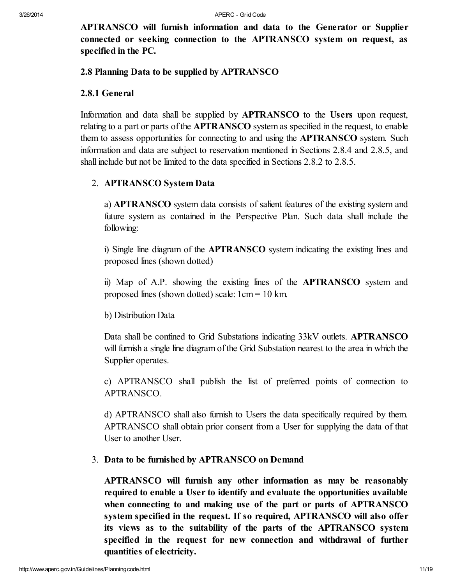**APTRANSCO will furnish information and data to the Generator or Supplier connected or seeking connection to the APTRANSCO system on request, as specified in the PC.**

#### <span id="page-10-0"></span>**2.8 Planning Data to be supplied by APTRANSCO**

#### <span id="page-10-1"></span>*2.8.1 General*

Information and data shall be supplied by APTRANSCO to the Users upon request, relating to a part or parts of the APTRANSCO system as specified in the request, to enable them to assess opportunities for connecting to and using the APTRANSCO system. Such information and data are subject to reservation mentioned in Sections 2.8.4 and 2.8.5, and shall include but not be limited to the data specified in Sections 2.8.2 to 2.8.5.

#### 2. *APTRANSCO System Data*

a) APTRANSCO system data consists of salient features of the existing system and future system as contained in the Perspective Plan. Such data shall include the following:

i) Single line diagram of the APTRANSCO system indicating the existing lines and proposed lines (shown dotted)

ii) Map of A.P. showing the existing lines of the APTRANSCO system and proposed lines (shown dotted) scale: 1cm = 10 km.

#### b) Distribution Data

Data shall be confined to Grid Substations indicating 33kV outlets. APTRANSCO will furnish a single line diagram of the Grid Substation nearest to the area in which the Supplier operates.

c) APTRANSCO shall publish the list of preferred points of connection to APTRANSCO.

d) APTRANSCO shall also furnish to Users the data specifically required by them. APTRANSCO shall obtain prior consent from a User for supplying the data of that User to another User.

#### 3. *Data to be furnished by APTRANSCO on Demand*

**APTRANSCO will furnish any other information as may be reasonably required to enable a User to identify and evaluate the opportunities available when connecting to and making use of the part or parts of APTRANSCO system specified in the request. If so required, APTRANSCO will also offer its views as to the suitability of the parts of the APTRANSCO system specified in the request for new connection and withdrawal of further quantities of electricity.**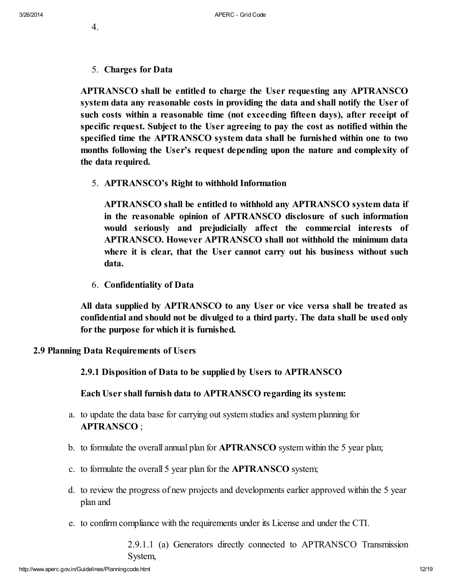- 4.
- <span id="page-11-0"></span>5. *Charges for Data*

**APTRANSCO shall be entitled to charge the User requesting any APTRANSCO system data any reasonable costs in providing the data and shall notify the User of such costs within a reasonable time (not exceeding fifteen days), after receipt of specific request. Subject to the User agreeing to pay the cost as notified within the specified time the APTRANSCO system data shall be furnished within one to two months following the User's request depending upon the nature and complexity of the data required.**

5. *APTRANSCO's Right to withhold Information*

**APTRANSCO shall be entitled to withhold any APTRANSCO system data if in the reasonable opinion of APTRANSCO disclosure of such information would seriously and prejudicially affect the commercial interests of APTRANSCO. However APTRANSCO shall not withhold the minimum data where it is clear, that the User cannot carry out his business without such data.**

6. *Confidentiality of Data*

**All data supplied by APTRANSCO to any User or vice versa shall be treated as confidential and should not be divulged to a third party. The data shall be used only for the purpose for which it is furnished.**

<span id="page-11-1"></span>**2.9 Planning Data Requirements of Users**

*2.9.1 Disposition of Data to be supplied by Users to APTRANSCO*

**Each User shall furnish data to APTRANSCO regarding its system:**

- a. to update the data base for carrying out system studies and system planning for APTRANSCO ;
- b. to formulate the overall annual plan for APTRANSCO system within the 5 year plan;
- c. to formulate the overall 5 year plan for the APTRANSCO system;
- d. to review the progress of new projects and developments earlier approved within the 5 year plan and
- e. to confirm compliance with the requirements under its License and under the CTI.

2.9.1.1 (a) Generators directly connected to APTRANSCO Transmission System,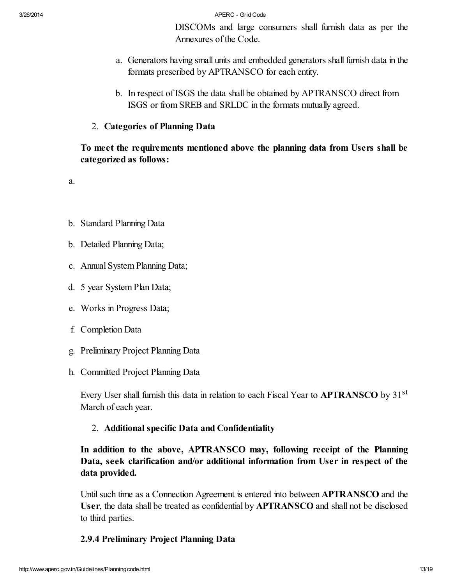DISCOMs and large consumers shall furnish data as per the Annexures of the Code.

- a. Generators having small units and embedded generators shall furnish data in the formats prescribed by APTRANSCO for each entity.
- b. In respect of ISGS the data shall be obtained by APTRANSCO direct from ISGS or from SREB and SRLDC in the formats mutually agreed.
- 2. *Categories of Planning Data*

**To meet the requirements mentioned above the planning data from Users shall be categorized as follows:**

a.

- b. Standard Planning Data
- b. Detailed Planning Data;
- c. Annual System Planning Data;
- d. 5 year System Plan Data;
- e. Works in Progress Data;
- f. Completion Data
- g. Preliminary Project Planning Data
- h. Committed Project Planning Data

Every User shall furnish this data in relation to each Fiscal Year to **APTRANSCO** by 31<sup>st</sup> March of each year.

# 2. *Additional specific Data and Confidentiality*

**In addition to the above, APTRANSCO may, following receipt of the Planning Data, seek clarification and/or additional information from User in respect of the data provided.**

Until such time as a Connection Agreement is entered into between **APTRANSCO** and the User, the data shall be treated as confidential by APTRANSCO and shall not be disclosed to third parties.

# <span id="page-12-0"></span>*2.9.4 Preliminary Project Planning Data*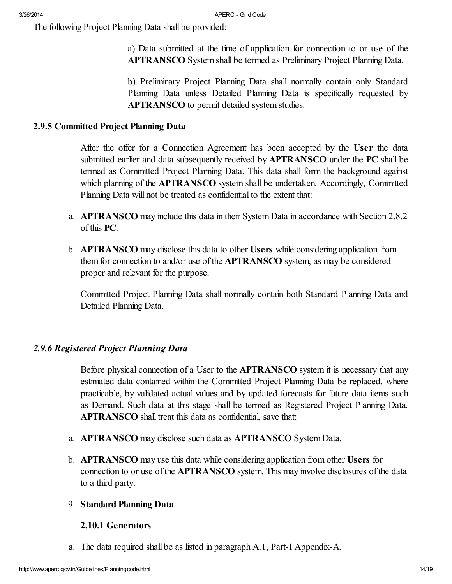The following Project Planning Data shall be provided:

a) Data submitted at the time of application for connection to or use of the APTRANSCO System shall be termed as Preliminary Project Planning Data.

b) Preliminary Project Planning Data shall normally contain only Standard Planning Data unless Detailed Planning Data is specifically requested by APTRANSCO to permit detailed system studies.

# <span id="page-13-0"></span>*2.9.5 Committed Project Planning Data*

After the offer for a Connection Agreement has been accepted by the User the data submitted earlier and data subsequently received by **APTRANSCO** under the **PC** shall be termed as Committed Project Planning Data. This data shall form the background against which planning of the **APTRANSCO** system shall be undertaken. Accordingly, Committed Planning Data will not be treated as confidential to the extent that:

- a. APTRANSCO may include this data in their System Data in accordance with Section 2.8.2 of this PC.
- b. APTRANSCO may disclose this data to other Users while considering application from them for connection to and/or use of the APTRANSCO system, as may be considered proper and relevant for the purpose.

Committed Project Planning Data shall normally contain both Standard Planning Data and Detailed Planning Data.

# <span id="page-13-1"></span>*2.9.6 Registered Project Planning Data*

Before physical connection of a User to the **APTRANSCO** system it is necessary that any estimated data contained within the Committed Project Planning Data be replaced, where practicable, by validated actual values and by updated forecasts for future data items such as Demand. Such data at this stage shall be termed as Registered Project Planning Data. APTRANSCO shall treat this data as confidential, save that:

- a. APTRANSCO may disclose such data as APTRANSCO System Data.
- b. APTRANSCO may use this data while considering application from other Users for connection to or use of the APTRANSCO system. This may involve disclosures of the data to a third party.

# 9. **Standard Planning Data**

# <span id="page-13-2"></span>*2.10.1 Generators*

a. The data required shall be as listed in paragraph A.1, Part-I Appendix-A.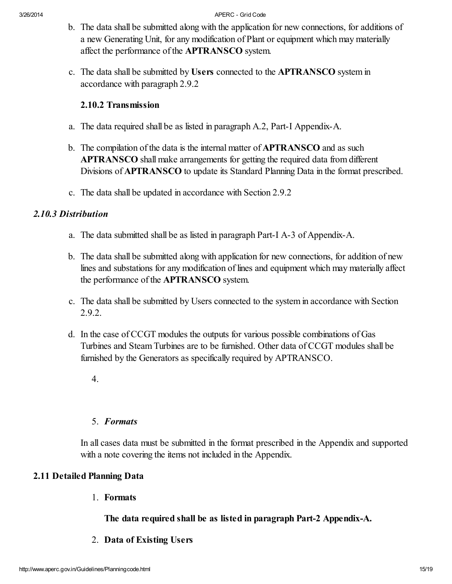- b. The data shall be submitted along with the application for new connections, for additions of a new Generating Unit, for any modification of Plant or equipment which may materially affect the performance of the APTRANSCO system.
- c. The data shall be submitted by Users connected to the APTRANSCO system in accordance with paragraph 2.9.2

# <span id="page-14-0"></span>*2.10.2 Transmission*

- a. The data required shall be as listed in paragraph A.2, Part-I Appendix-A.
- b. The compilation of the data is the internal matter of APTRANSCO and as such APTRANSCO shall make arrangements for getting the required data from different Divisions of APTRANSCO to update its Standard Planning Data in the format prescribed.
- <span id="page-14-1"></span>c. The data shall be updated in accordance with Section 2.9.2

# *2.10.3 Distribution*

- a. The data submitted shall be as listed in paragraph Part-I A-3 of Appendix-A.
- b. The data shall be submitted along with application for new connections, for addition of new lines and substations for any modification of lines and equipment which may materially affect the performance of the APTRANSCO system.
- c. The data shall be submitted by Users connected to the system in accordance with Section 2.9.2.
- d. In the case of CCGT modules the outputs for various possible combinations of Gas Turbines and Steam Turbines are to be furnished. Other data of CCGT modules shall be furnished by the Generators as specifically required by APTRANSCO.
	- 4.

# 5. *Formats*

In all cases data must be submitted in the format prescribed in the Appendix and supported with a note covering the items not included in the Appendix.

# <span id="page-14-2"></span>**2.11 Detailed Planning Data**

1. *Formats*

# **The data required shall be as listed in paragraph Part-2 Appendix-A.**

2. *Data of Existing Users*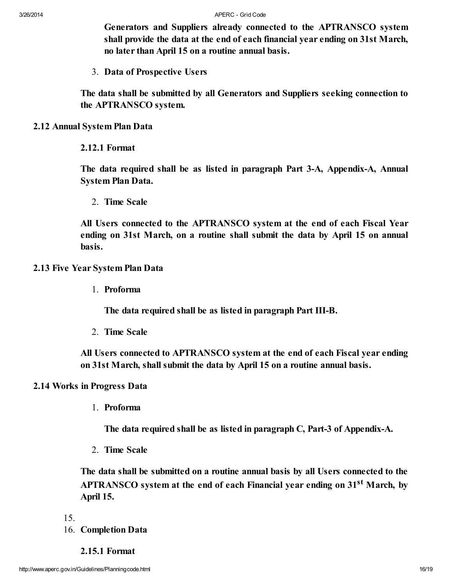**Generators and Suppliers already connected to the APTRANSCO system shall provide the data at the end of each financial year ending on 31st March, no later than April 15 on a routine annual basis.**

3. *Data of Prospective Users*

**The data shall be submitted by all Generators and Suppliers seeking connection to the APTRANSCO system.**

- <span id="page-15-0"></span>**2.12 Annual System Plan Data**
	- *2.12.1 Format*

<span id="page-15-1"></span>**The data required shall be as listed in paragraph Part 3-A, Appendix-A, Annual System Plan Data.**

2. *Time Scale*

**All Users connected to the APTRANSCO system at the end of each Fiscal Year ending on 31st March, on a routine shall submit the data by April 15 on annual basis.**

#### <span id="page-15-2"></span>**2.13 Five Year System Plan Data**

1. *Proforma*

**The data required shall be as listed in paragraph Part III-B.**

2. *Time Scale*

**All Users connected to APTRANSCO system at the end of each Fiscal year ending on 31st March, shall submit the data by April 15 on a routine annual basis.**

#### <span id="page-15-3"></span>**2.14 Works in Progress Data**

1. *Proforma*

**The data required shall be as listed in paragraph C, Part-3 of Appendix-A.**

2. *Time Scale*

**The data shall be submitted on a routine annual basis by all Users connected to the APTRANSCO system at the end of each Financial year ending on 31 st March, by April 15.**

15.

- <span id="page-15-5"></span><span id="page-15-4"></span>16. **Completion Data**
	- *2.15.1 Format*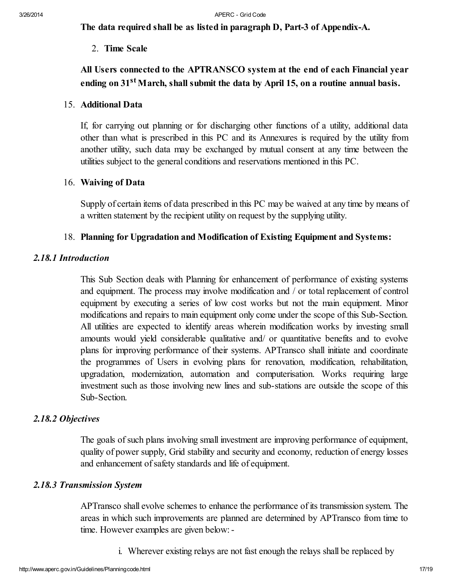**The data required shall be as listed in paragraph D, Part-3 of Appendix-A.**

2. *Time Scale*

# **All Users connected to the APTRANSCO system at the end of each Financial year ending on 31 st March, shall submit the data by April 15, on a routine annual basis.**

# 15. Additional Data

If, for carrying out planning or for discharging other functions of a utility, additional data other than what is prescribed in this PC and its Annexures is required by the utility from another utility, such data may be exchanged by mutual consent at any time between the utilities subject to the general conditions and reservations mentioned in this PC.

# 16. Waiving of Data

Supply of certain items of data prescribed in this PC may be waived at any time by means of a written statement by the recipient utility on request by the supplying utility.

# <span id="page-16-0"></span>18. Planning for Upgradation and Modification of Existing Equipment and Systems:

# *2.18.1 Introduction*

This Sub Section deals with Planning for enhancement of performance of existing systems and equipment. The process may involve modification and / or total replacement of control equipment by executing a series of low cost works but not the main equipment. Minor modifications and repairs to main equipment only come under the scope of this Sub-Section. All utilities are expected to identify areas wherein modification works by investing small amounts would yield considerable qualitative and/ or quantitative benefits and to evolve plans for improving performance of their systems. APTransco shall initiate and coordinate the programmes of Users in evolving plans for renovation, modification, rehabilitation, upgradation, modernization, automation and computerisation. Works requiring large investment such as those involving new lines and sub-stations are outside the scope of this Sub-Section.

# <span id="page-16-1"></span>*2.18.2 Objectives*

The goals of such plans involving small investment are improving performance of equipment, quality of power supply, Grid stability and security and economy, reduction of energy losses and enhancement of safety standards and life of equipment.

# <span id="page-16-2"></span>*2.18.3 Transmission System*

APTransco shall evolve schemes to enhance the performance of its transmission system. The areas in which such improvements are planned are determined by APTransco from time to time. However examples are given below:-

i. Wherever existing relays are not fast enough the relays shall be replaced by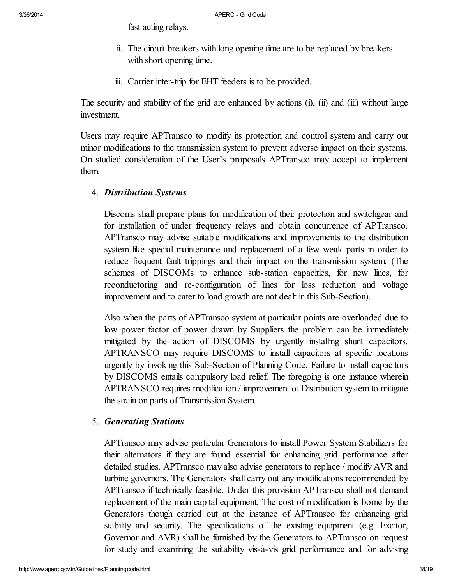fast acting relays.

- ii. The circuit breakers with long opening time are to be replaced by breakers with short opening time.
- iii. Carrier inter-trip for EHT feeders is to be provided.

The security and stability of the grid are enhanced by actions (i), (ii) and (iii) without large investment.

Users may require APTransco to modify its protection and control system and carry out minor modifications to the transmission system to prevent adverse impact on their systems. On studied consideration of the User's proposals APTransco may accept to implement them.

4. *Distribution Systems*

Discoms shall prepare plans for modification of their protection and switchgear and for installation of under frequency relays and obtain concurrence of APTransco. APTransco may advise suitable modifications and improvements to the distribution system like special maintenance and replacement of a few weak parts in order to reduce frequent fault trippings and their impact on the transmission system. (The schemes of DISCOMs to enhance sub-station capacities, for new lines, for reconductoring and re-configuration of lines for loss reduction and voltage improvement and to cater to load growth are not dealt in this Sub-Section).

Also when the parts of APTransco system at particular points are overloaded due to low power factor of power drawn by Suppliers the problem can be immediately mitigated by the action of DISCOMS by urgently installing shunt capacitors. APTRANSCO may require DISCOMS to install capacitors at specific locations urgently by invoking this Sub-Section of Planning Code. Failure to install capacitors by DISCOMS entails compulsory load relief. The foregoing is one instance wherein APTRANSCO requires modification / improvement of Distribution system to mitigate the strain on parts of Transmission System.

# 5. *Generating Stations*

APTransco may advise particular Generators to install Power System Stabilizers for their alternators if they are found essential for enhancing grid performance after detailed studies. APTransco may also advise generators to replace / modify AVR and turbine governors. The Generators shall carry out any modifications recommended by APTransco if technically feasible. Under this provision APTransco shall not demand replacement of the main capital equipment. The cost of modification is borne by the Generators though carried out at the instance of APTransco for enhancing grid stability and security. The specifications of the existing equipment (e.g. Excitor, Governor and AVR) shall be furnished by the Generators to APTransco on request for study and examining the suitability vis-à-vis grid performance and for advising